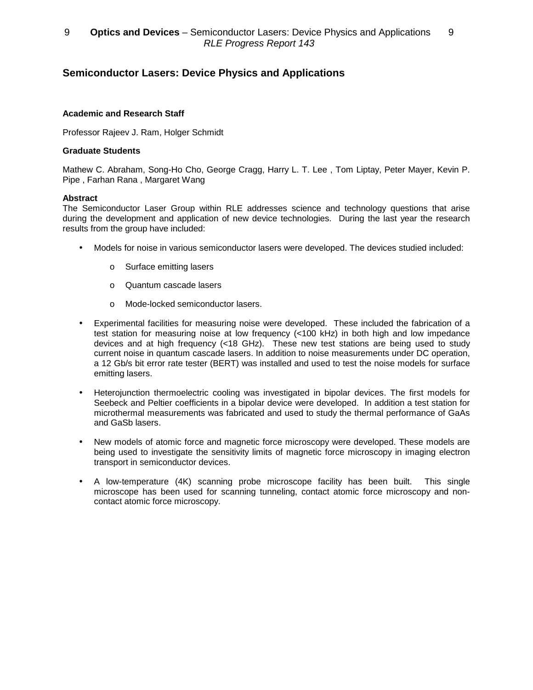# **Semiconductor Lasers: Device Physics and Applications**

### **Academic and Research Staff**

Professor Rajeev J. Ram, Holger Schmidt

### **Graduate Students**

Mathew C. Abraham, Song-Ho Cho, George Cragg, Harry L. T. Lee , Tom Liptay, Peter Mayer, Kevin P. Pipe , Farhan Rana , Margaret Wang

#### **Abstract**

The Semiconductor Laser Group within RLE addresses science and technology questions that arise during the development and application of new device technologies. During the last year the research results from the group have included:

- Models for noise in various semiconductor lasers were developed. The devices studied included:
	- o Surface emitting lasers
	- o Quantum cascade lasers
	- o Mode-locked semiconductor lasers.
- Experimental facilities for measuring noise were developed. These included the fabrication of a test station for measuring noise at low frequency (<100 kHz) in both high and low impedance devices and at high frequency (<18 GHz). These new test stations are being used to study current noise in quantum cascade lasers. In addition to noise measurements under DC operation, a 12 Gb/s bit error rate tester (BERT) was installed and used to test the noise models for surface emitting lasers.
- Heterojunction thermoelectric cooling was investigated in bipolar devices. The first models for Seebeck and Peltier coefficients in a bipolar device were developed. In addition a test station for microthermal measurements was fabricated and used to study the thermal performance of GaAs and GaSb lasers.
- New models of atomic force and magnetic force microscopy were developed. These models are being used to investigate the sensitivity limits of magnetic force microscopy in imaging electron transport in semiconductor devices.
- A low-temperature (4K) scanning probe microscope facility has been built. This single microscope has been used for scanning tunneling, contact atomic force microscopy and noncontact atomic force microscopy.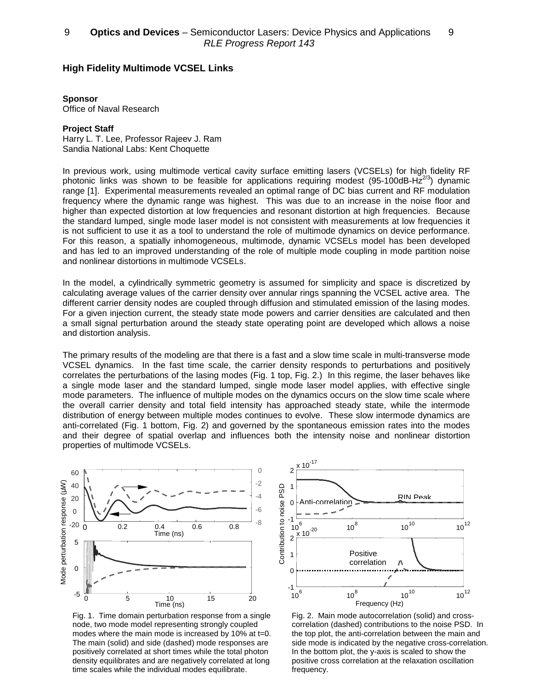### **High Fidelity Multimode VCSEL Links**

#### **Sponsor**

Office of Naval Research

#### **Project Staff**

Harry L. T. Lee, Professor Rajeev J. Ram Sandia National Labs: Kent Choquette

In previous work, using multimode vertical cavity surface emitting lasers (VCSELs) for high fidelity RF photonic links was shown to be feasible for applications requiring modest (95-100dB-H $z^{2/3}$ ) dynamic range [1]. Experimental measurements revealed an optimal range of DC bias current and RF modulation frequency where the dynamic range was highest. This was due to an increase in the noise floor and higher than expected distortion at low frequencies and resonant distortion at high frequencies. Because the standard lumped, single mode laser model is not consistent with measurements at low frequencies it is not sufficient to use it as a tool to understand the role of multimode dynamics on device performance. For this reason, a spatially inhomogeneous, multimode, dynamic VCSELs model has been developed and has led to an improved understanding of the role of multiple mode coupling in mode partition noise and nonlinear distortions in multimode VCSELs.

In the model, a cylindrically symmetric geometry is assumed for simplicity and space is discretized by calculating average values of the carrier density over annular rings spanning the VCSEL active area. The different carrier density nodes are coupled through diffusion and stimulated emission of the lasing modes. For a given injection current, the steady state mode powers and carrier densities are calculated and then a small signal perturbation around the steady state operating point are developed which allows a noise and distortion analysis.

The primary results of the modeling are that there is a fast and a slow time scale in multi-transverse mode VCSEL dynamics. In the fast time scale, the carrier density responds to perturbations and positively correlates the perturbations of the lasing modes (Fig. 1 top, Fig. 2.) In this regime, the laser behaves like a single mode laser and the standard lumped, single mode laser model applies, with effective single mode parameters. The influence of multiple modes on the dynamics occurs on the slow time scale where the overall carrier density and total field intensity has approached steady state, while the intermode distribution of energy between multiple modes continues to evolve. These slow intermode dynamics are anti-correlated (Fig. 1 bottom, Fig. 2) and governed by the spontaneous emission rates into the modes and their degree of spatial overlap and influences both the intensity noise and nonlinear distortion properties of multimode VCSELs.



Fig. 1. Time domain perturbation response from a single node, two mode model representing strongly coupled modes where the main mode is increased by 10% at t=0. The main (solid) and side (dashed) mode responses are positively correlated at short times while the total photon density equilibrates and are negatively correlated at long time scales while the individual modes equilibrate.



Fig. 2. Main mode autocorrelation (solid) and crosscorrelation (dashed) contributions to the noise PSD. In the top plot, the anti-correlation between the main and side mode is indicated by the negative cross-correlation. In the bottom plot, the y-axis is scaled to show the positive cross correlation at the relaxation oscillation frequency.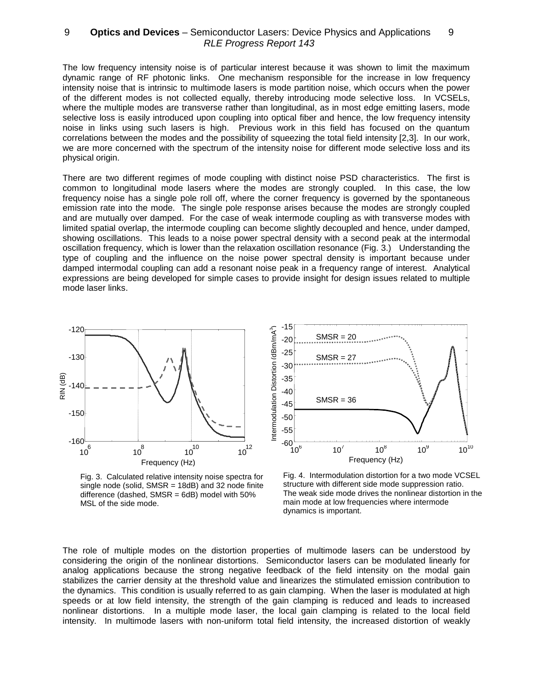The low frequency intensity noise is of particular interest because it was shown to limit the maximum dynamic range of RF photonic links. One mechanism responsible for the increase in low frequency intensity noise that is intrinsic to multimode lasers is mode partition noise, which occurs when the power of the different modes is not collected equally, thereby introducing mode selective loss. In VCSELs, where the multiple modes are transverse rather than longitudinal, as in most edge emitting lasers, mode selective loss is easily introduced upon coupling into optical fiber and hence, the low frequency intensity noise in links using such lasers is high. Previous work in this field has focused on the quantum correlations between the modes and the possibility of squeezing the total field intensity [2,3]. In our work, we are more concerned with the spectrum of the intensity noise for different mode selective loss and its physical origin.

There are two different regimes of mode coupling with distinct noise PSD characteristics. The first is common to longitudinal mode lasers where the modes are strongly coupled. In this case, the low frequency noise has a single pole roll off, where the corner frequency is governed by the spontaneous emission rate into the mode. The single pole response arises because the modes are strongly coupled and are mutually over damped. For the case of weak intermode coupling as with transverse modes with limited spatial overlap, the intermode coupling can become slightly decoupled and hence, under damped, showing oscillations. This leads to a noise power spectral density with a second peak at the intermodal oscillation frequency, which is lower than the relaxation oscillation resonance (Fig. 3.) Understanding the type of coupling and the influence on the noise power spectral density is important because under damped intermodal coupling can add a resonant noise peak in a frequency range of interest. Analytical expressions are being developed for simple cases to provide insight for design issues related to multiple mode laser links.



Fig. 3. Calculated relative intensity noise spectra for single node (solid,  $SMSR = 18dB$ ) and 32 node finite difference (dashed, SMSR = 6dB) model with 50% MSL of the side mode.



Fig. 4. Intermodulation distortion for a two mode VCSEL structure with different side mode suppression ratio. The weak side mode drives the nonlinear distortion in the main mode at low frequencies where intermode dynamics is important.

The role of multiple modes on the distortion properties of multimode lasers can be understood by considering the origin of the nonlinear distortions. Semiconductor lasers can be modulated linearly for analog applications because the strong negative feedback of the field intensity on the modal gain stabilizes the carrier density at the threshold value and linearizes the stimulated emission contribution to the dynamics. This condition is usually referred to as gain clamping. When the laser is modulated at high speeds or at low field intensity, the strength of the gain clamping is reduced and leads to increased nonlinear distortions. In a multiple mode laser, the local gain clamping is related to the local field intensity. In multimode lasers with non-uniform total field intensity, the increased distortion of weakly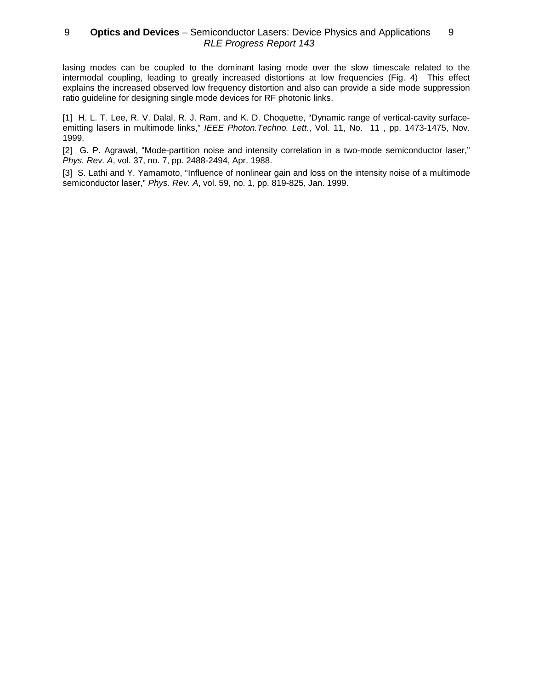lasing modes can be coupled to the dominant lasing mode over the slow timescale related to the intermodal coupling, leading to greatly increased distortions at low frequencies (Fig. 4) This effect explains the increased observed low frequency distortion and also can provide a side mode suppression ratio guideline for designing single mode devices for RF photonic links.

[1] H. L. T. Lee, R. V. Dalal, R. J. Ram, and K. D. Choquette, "Dynamic range of vertical-cavity surfaceemitting lasers in multimode links," IEEE Photon.Techno. Lett., Vol. 11, No. 11, pp. 1473-1475, Nov. 1999.

[2] G. P. Agrawal, "Mode-partition noise and intensity correlation in a two-mode semiconductor laser," Phys. Rev. A, vol. 37, no. 7, pp. 2488-2494, Apr. 1988.

[3] S. Lathi and Y. Yamamoto, "Influence of nonlinear gain and loss on the intensity noise of a multimode semiconductor laser," Phys. Rev. A, vol. 59, no. 1, pp. 819-825, Jan. 1999.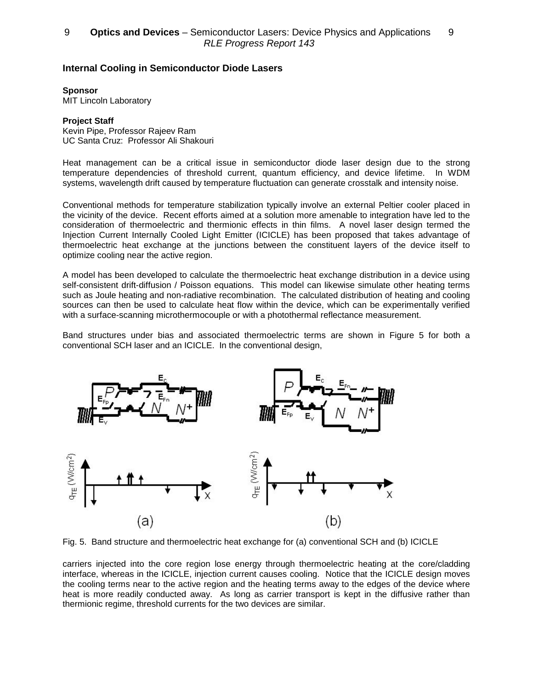## **Internal Cooling in Semiconductor Diode Lasers**

**Sponsor**

MIT Lincoln Laboratory

### **Project Staff**

Kevin Pipe, Professor Rajeev Ram UC Santa Cruz: Professor Ali Shakouri

Heat management can be a critical issue in semiconductor diode laser design due to the strong temperature dependencies of threshold current, quantum efficiency, and device lifetime. In WDM systems, wavelength drift caused by temperature fluctuation can generate crosstalk and intensity noise.

Conventional methods for temperature stabilization typically involve an external Peltier cooler placed in the vicinity of the device. Recent efforts aimed at a solution more amenable to integration have led to the consideration of thermoelectric and thermionic effects in thin films. A novel laser design termed the Injection Current Internally Cooled Light Emitter (ICICLE) has been proposed that takes advantage of thermoelectric heat exchange at the junctions between the constituent layers of the device itself to optimize cooling near the active region.

A model has been developed to calculate the thermoelectric heat exchange distribution in a device using self-consistent drift-diffusion / Poisson equations. This model can likewise simulate other heating terms such as Joule heating and non-radiative recombination. The calculated distribution of heating and cooling sources can then be used to calculate heat flow within the device, which can be experimentally verified with a surface-scanning microthermocouple or with a photothermal reflectance measurement.

Band structures under bias and associated thermoelectric terms are shown in Figure 5 for both a conventional SCH laser and an ICICLE. In the conventional design,



Fig. 5. Band structure and thermoelectric heat exchange for (a) conventional SCH and (b) ICICLE

carriers injected into the core region lose energy through thermoelectric heating at the core/cladding interface, whereas in the ICICLE, injection current causes cooling. Notice that the ICICLE design moves the cooling terms near to the active region and the heating terms away to the edges of the device where heat is more readily conducted away. As long as carrier transport is kept in the diffusive rather than thermionic regime, threshold currents for the two devices are similar.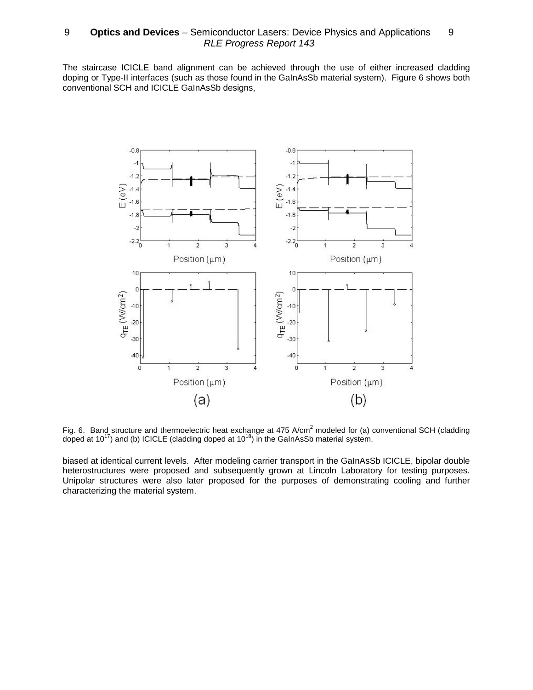The staircase ICICLE band alignment can be achieved through the use of either increased cladding doping or Type-II interfaces (such as those found in the GaInAsSb material system). Figure 6 shows both conventional SCH and ICICLE GaInAsSb designs,



Fig. 6. Band structure and thermoelectric heat exchange at 475 A/cm<sup>2</sup> modeled for (a) conventional SCH (cladding doped at 10<sup>17</sup>) and (b) ICICLE (cladding doped at 10<sup>18</sup>) in the GaInAsSb material system.

biased at identical current levels. After modeling carrier transport in the GaInAsSb ICICLE, bipolar double heterostructures were proposed and subsequently grown at Lincoln Laboratory for testing purposes. Unipolar structures were also later proposed for the purposes of demonstrating cooling and further characterizing the material system.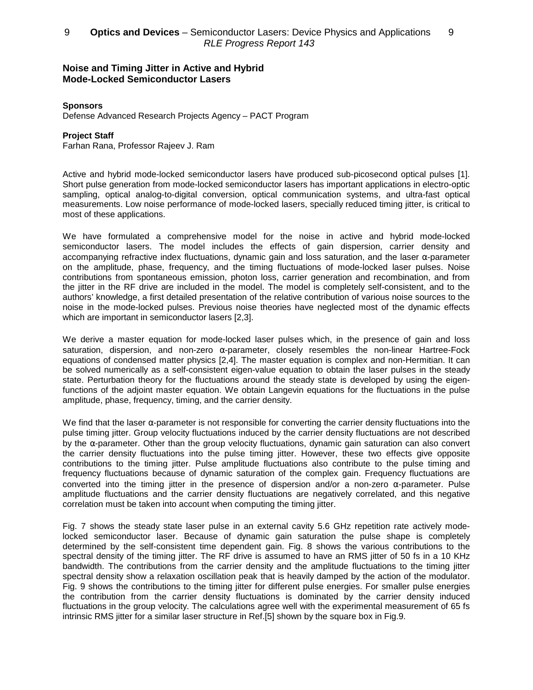## **Noise and Timing Jitter in Active and Hybrid Mode-Locked Semiconductor Lasers**

### **Sponsors**

Defense Advanced Research Projects Agency – PACT Program

### **Project Staff**

Farhan Rana, Professor Rajeev J. Ram

Active and hybrid mode-locked semiconductor lasers have produced sub-picosecond optical pulses [1]. Short pulse generation from mode-locked semiconductor lasers has important applications in electro-optic sampling, optical analog-to-digital conversion, optical communication systems, and ultra-fast optical measurements. Low noise performance of mode-locked lasers, specially reduced timing jitter, is critical to most of these applications.

We have formulated a comprehensive model for the noise in active and hybrid mode-locked semiconductor lasers. The model includes the effects of gain dispersion, carrier density and accompanying refractive index fluctuations, dynamic gain and loss saturation, and the laser  $\alpha$ -parameter on the amplitude, phase, frequency, and the timing fluctuations of mode-locked laser pulses. Noise contributions from spontaneous emission, photon loss, carrier generation and recombination, and from the jitter in the RF drive are included in the model. The model is completely self-consistent, and to the authors' knowledge, a first detailed presentation of the relative contribution of various noise sources to the noise in the mode-locked pulses. Previous noise theories have neglected most of the dynamic effects which are important in semiconductor lasers [2,3].

We derive a master equation for mode-locked laser pulses which, in the presence of gain and loss saturation, dispersion, and non-zero  $\alpha$ -parameter, closely resembles the non-linear Hartree-Fock equations of condensed matter physics [2,4]. The master equation is complex and non-Hermitian. It can be solved numerically as a self-consistent eigen-value equation to obtain the laser pulses in the steady state. Perturbation theory for the fluctuations around the steady state is developed by using the eigenfunctions of the adjoint master equation. We obtain Langevin equations for the fluctuations in the pulse amplitude, phase, frequency, timing, and the carrier density.

We find that the laser  $\alpha$ -parameter is not responsible for converting the carrier density fluctuations into the pulse timing jitter. Group velocity fluctuations induced by the carrier density fluctuations are not described by the α-parameter. Other than the group velocity fluctuations, dynamic gain saturation can also convert the carrier density fluctuations into the pulse timing jitter. However, these two effects give opposite contributions to the timing jitter. Pulse amplitude fluctuations also contribute to the pulse timing and frequency fluctuations because of dynamic saturation of the complex gain. Frequency fluctuations are converted into the timing jitter in the presence of dispersion and/or a non-zero α-parameter. Pulse amplitude fluctuations and the carrier density fluctuations are negatively correlated, and this negative correlation must be taken into account when computing the timing jitter.

Fig. 7 shows the steady state laser pulse in an external cavity 5.6 GHz repetition rate actively modelocked semiconductor laser. Because of dynamic gain saturation the pulse shape is completely determined by the self-consistent time dependent gain. Fig. 8 shows the various contributions to the spectral density of the timing jitter. The RF drive is assumed to have an RMS jitter of 50 fs in a 10 KHz bandwidth. The contributions from the carrier density and the amplitude fluctuations to the timing jitter spectral density show a relaxation oscillation peak that is heavily damped by the action of the modulator. Fig. 9 shows the contributions to the timing jitter for different pulse energies. For smaller pulse energies the contribution from the carrier density fluctuations is dominated by the carrier density induced fluctuations in the group velocity. The calculations agree well with the experimental measurement of 65 fs intrinsic RMS jitter for a similar laser structure in Ref.[5] shown by the square box in Fig.9.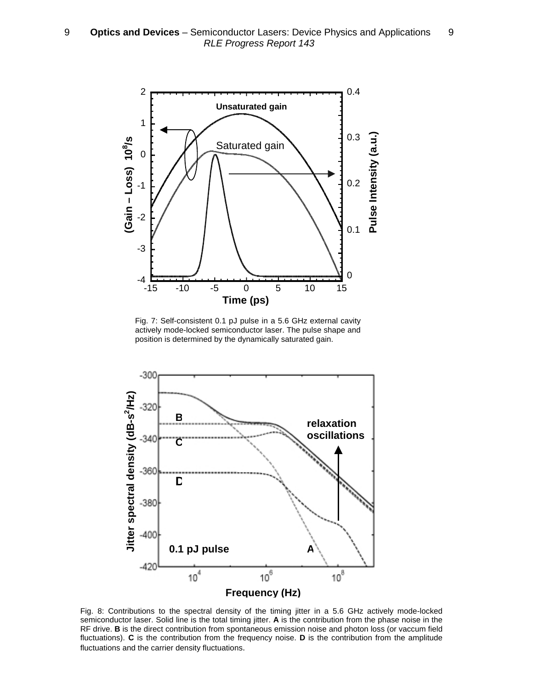

Fig. 7: Self-consistent 0.1 pJ pulse in a 5.6 GHz external cavity actively mode-locked semiconductor laser. The pulse shape and position is determined by the dynamically saturated gain.



Fig. 8: Contributions to the spectral density of the timing jitter in a 5.6 GHz actively mode-locked semiconductor laser. Solid line is the total timing jitter. **A** is the contribution from the phase noise in the RF drive. **B** is the direct contribution from spontaneous emission noise and photon loss (or vaccum field fluctuations). **C** is the contribution from the frequency noise. **D** is the contribution from the amplitude fluctuations and the carrier density fluctuations.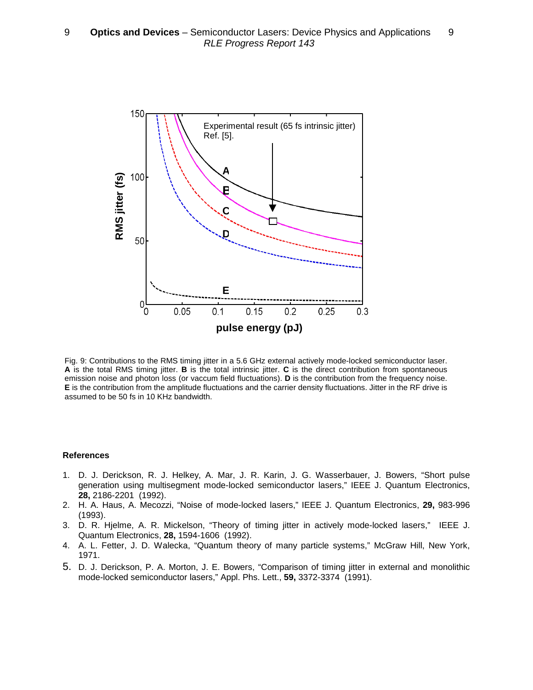

Fig. 9: Contributions to the RMS timing jitter in a 5.6 GHz external actively mode-locked semiconductor laser. **A** is the total RMS timing jitter. **B** is the total intrinsic jitter. **C** is the direct contribution from spontaneous emission noise and photon loss (or vaccum field fluctuations). **D** is the contribution from the frequency noise. **E** is the contribution from the amplitude fluctuations and the carrier density fluctuations. Jitter in the RF drive is assumed to be 50 fs in 10 KHz bandwidth.

#### **References**

- 1. D. J. Derickson, R. J. Helkey, A. Mar, J. R. Karin, J. G. Wasserbauer, J. Bowers, "Short pulse generation using multisegment mode-locked semiconductor lasers," IEEE J. Quantum Electronics, **28,** 2186-2201 (1992).
- 2. H. A. Haus, A. Mecozzi, "Noise of mode-locked lasers," IEEE J. Quantum Electronics, **29,** 983-996 (1993).
- 3. D. R. Hjelme, A. R. Mickelson, "Theory of timing jitter in actively mode-locked lasers," IEEE J. Quantum Electronics, **28,** 1594-1606 (1992).
- 4. A. L. Fetter, J. D. Walecka, "Quantum theory of many particle systems," McGraw Hill, New York, 1971.
- 5. D. J. Derickson, P. A. Morton, J. E. Bowers, "Comparison of timing jitter in external and monolithic mode-locked semiconductor lasers," Appl. Phs. Lett., **59,** 3372-3374 (1991).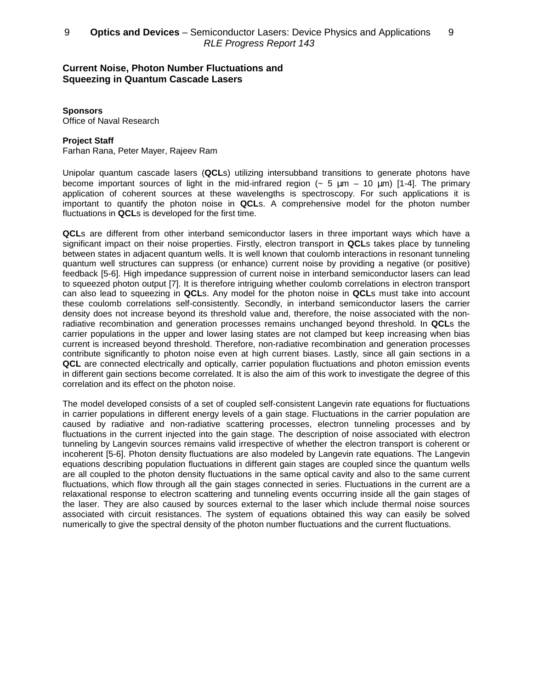## **Current Noise, Photon Number Fluctuations and Squeezing in Quantum Cascade Lasers**

### **Sponsors**

Office of Naval Research

### **Project Staff**

Farhan Rana, Peter Mayer, Rajeev Ram

Unipolar quantum cascade lasers (**QCL**s) utilizing intersubband transitions to generate photons have become important sources of light in the mid-infrared region  $($   $\sim$  5  $\mu$ m – 10  $\mu$ m) [1-4]. The primary application of coherent sources at these wavelengths is spectroscopy. For such applications it is important to quantify the photon noise in **QCL**s. A comprehensive model for the photon number fluctuations in **QCL**s is developed for the first time.

**QCL**s are different from other interband semiconductor lasers in three important ways which have a significant impact on their noise properties. Firstly, electron transport in **QCL**s takes place by tunneling between states in adjacent quantum wells. It is well known that coulomb interactions in resonant tunneling quantum well structures can suppress (or enhance) current noise by providing a negative (or positive) feedback [5-6]. High impedance suppression of current noise in interband semiconductor lasers can lead to squeezed photon output [7]. It is therefore intriguing whether coulomb correlations in electron transport can also lead to squeezing in **QCL**s. Any model for the photon noise in **QCL**s must take into account these coulomb correlations self-consistently. Secondly, in interband semiconductor lasers the carrier density does not increase beyond its threshold value and, therefore, the noise associated with the nonradiative recombination and generation processes remains unchanged beyond threshold. In **QCL**s the carrier populations in the upper and lower lasing states are not clamped but keep increasing when bias current is increased beyond threshold. Therefore, non-radiative recombination and generation processes contribute significantly to photon noise even at high current biases. Lastly, since all gain sections in a **QCL** are connected electrically and optically, carrier population fluctuations and photon emission events in different gain sections become correlated. It is also the aim of this work to investigate the degree of this correlation and its effect on the photon noise.

The model developed consists of a set of coupled self-consistent Langevin rate equations for fluctuations in carrier populations in different energy levels of a gain stage. Fluctuations in the carrier population are caused by radiative and non-radiative scattering processes, electron tunneling processes and by fluctuations in the current injected into the gain stage. The description of noise associated with electron tunneling by Langevin sources remains valid irrespective of whether the electron transport is coherent or incoherent [5-6]. Photon density fluctuations are also modeled by Langevin rate equations. The Langevin equations describing population fluctuations in different gain stages are coupled since the quantum wells are all coupled to the photon density fluctuations in the same optical cavity and also to the same current fluctuations, which flow through all the gain stages connected in series. Fluctuations in the current are a relaxational response to electron scattering and tunneling events occurring inside all the gain stages of the laser. They are also caused by sources external to the laser which include thermal noise sources associated with circuit resistances. The system of equations obtained this way can easily be solved numerically to give the spectral density of the photon number fluctuations and the current fluctuations.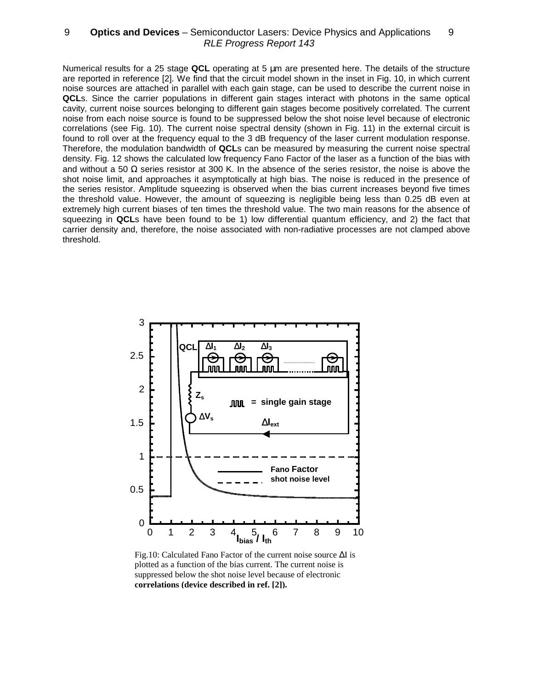Numerical results for a 25 stage **QCL** operating at 5 µm are presented here. The details of the structure are reported in reference [2]. We find that the circuit model shown in the inset in Fig. 10, in which current noise sources are attached in parallel with each gain stage, can be used to describe the current noise in **QCL**s. Since the carrier populations in different gain stages interact with photons in the same optical cavity, current noise sources belonging to different gain stages become positively correlated. The current noise from each noise source is found to be suppressed below the shot noise level because of electronic correlations (see Fig. 10). The current noise spectral density (shown in Fig. 11) in the external circuit is found to roll over at the frequency equal to the 3 dB frequency of the laser current modulation response. Therefore, the modulation bandwidth of **QCL**s can be measured by measuring the current noise spectral density. Fig. 12 shows the calculated low frequency Fano Factor of the laser as a function of the bias with and without a 50  $\Omega$  series resistor at 300 K. In the absence of the series resistor, the noise is above the shot noise limit, and approaches it asymptotically at high bias. The noise is reduced in the presence of the series resistor. Amplitude squeezing is observed when the bias current increases beyond five times the threshold value. However, the amount of squeezing is negligible being less than 0.25 dB even at extremely high current biases of ten times the threshold value. The two main reasons for the absence of squeezing in **QCL**s have been found to be 1) low differential quantum efficiency, and 2) the fact that carrier density and, therefore, the noise associated with non-radiative processes are not clamped above threshold.



Fig.10: Calculated Fano Factor of the current noise source ∆I is plotted as a function of the bias current. The current noise is suppressed below the shot noise level because of electronic **correlations (device described in ref. [2]).**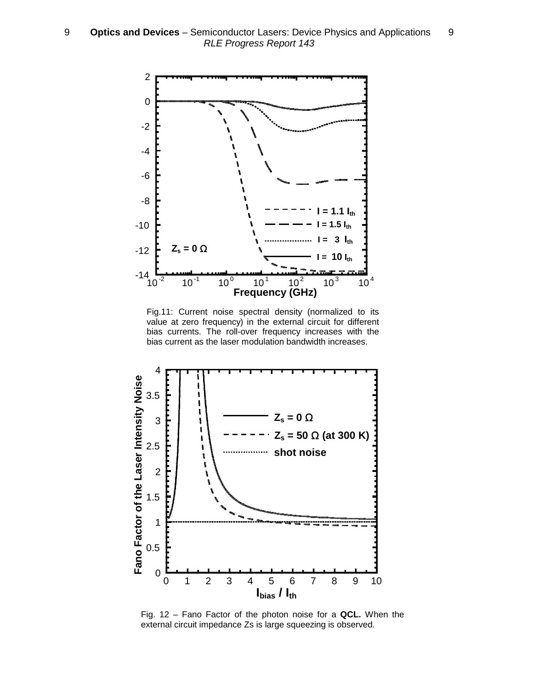

Fig.11: Current noise spectral density (normalized to its value at zero frequency) in the external circuit for different bias currents. The roll-over frequency increases with the bias current as the laser modulation bandwidth increases.



Fig. 12 – Fano Factor of the photon noise for a **QCL.** When the external circuit impedance Zs is large squeezing is observed.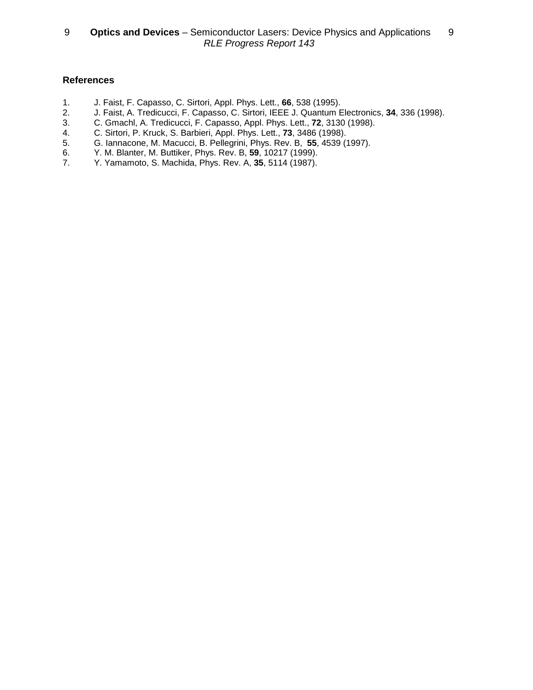## **References**

- 1. J. Faist, F. Capasso, C. Sirtori, Appl. Phys. Lett., **66**, 538 (1995).
- 2. J. Faist, A. Tredicucci, F. Capasso, C. Sirtori, IEEE J. Quantum Electronics, **34**, 336 (1998).
- 3. C. Gmachl, A. Tredicucci, F. Capasso, Appl. Phys. Lett., **72**, 3130 (1998).
- 4. C. Sirtori, P. Kruck, S. Barbieri, Appl. Phys. Lett., **73**, 3486 (1998).
- 5. G. Iannacone, M. Macucci, B. Pellegrini, Phys. Rev. B, **55**, 4539 (1997).
- 6. Y. M. Blanter, M. Buttiker, Phys. Rev. B, **59**, 10217 (1999).
- 7. Y. Yamamoto, S. Machida, Phys. Rev. A, **35**, 5114 (1987).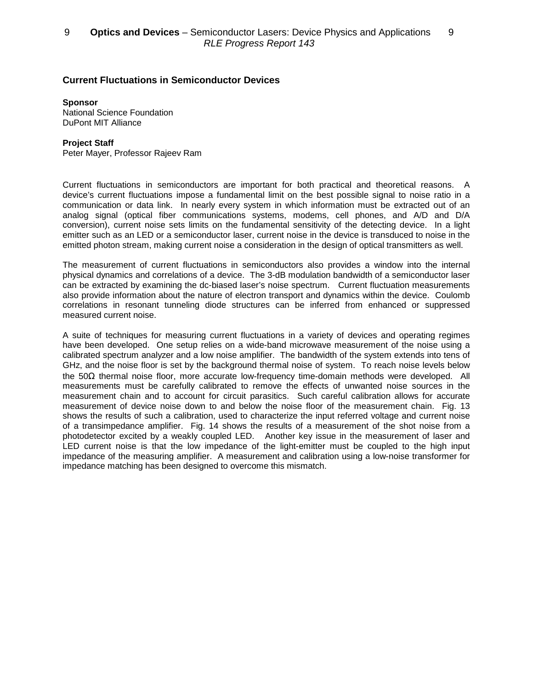## **Current Fluctuations in Semiconductor Devices**

#### **Sponsor**

National Science Foundation DuPont MIT Alliance

### **Project Staff**

Peter Mayer, Professor Rajeev Ram

Current fluctuations in semiconductors are important for both practical and theoretical reasons. A device's current fluctuations impose a fundamental limit on the best possible signal to noise ratio in a communication or data link. In nearly every system in which information must be extracted out of an analog signal (optical fiber communications systems, modems, cell phones, and A/D and D/A conversion), current noise sets limits on the fundamental sensitivity of the detecting device. In a light emitter such as an LED or a semiconductor laser, current noise in the device is transduced to noise in the emitted photon stream, making current noise a consideration in the design of optical transmitters as well.

The measurement of current fluctuations in semiconductors also provides a window into the internal physical dynamics and correlations of a device. The 3-dB modulation bandwidth of a semiconductor laser can be extracted by examining the dc-biased laser's noise spectrum. Current fluctuation measurements also provide information about the nature of electron transport and dynamics within the device. Coulomb correlations in resonant tunneling diode structures can be inferred from enhanced or suppressed measured current noise.

A suite of techniques for measuring current fluctuations in a variety of devices and operating regimes have been developed. One setup relies on a wide-band microwave measurement of the noise using a calibrated spectrum analyzer and a low noise amplifier. The bandwidth of the system extends into tens of GHz, and the noise floor is set by the background thermal noise of system. To reach noise levels below the 50Ω thermal noise floor, more accurate low-frequency time-domain methods were developed. All measurements must be carefully calibrated to remove the effects of unwanted noise sources in the measurement chain and to account for circuit parasitics. Such careful calibration allows for accurate measurement of device noise down to and below the noise floor of the measurement chain. Fig. 13 shows the results of such a calibration, used to characterize the input referred voltage and current noise of a transimpedance amplifier. Fig. 14 shows the results of a measurement of the shot noise from a photodetector excited by a weakly coupled LED. Another key issue in the measurement of laser and LED current noise is that the low impedance of the light-emitter must be coupled to the high input impedance of the measuring amplifier. A measurement and calibration using a low-noise transformer for impedance matching has been designed to overcome this mismatch.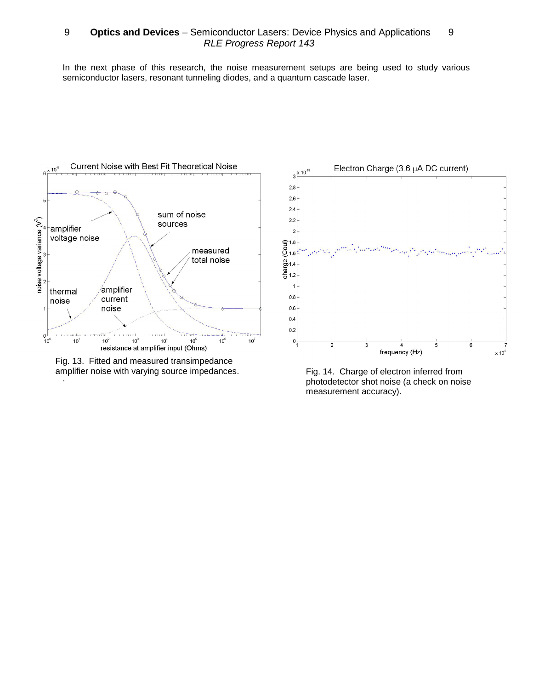In the next phase of this research, the noise measurement setups are being used to study various semiconductor lasers, resonant tunneling diodes, and a quantum cascade laser.



. Fig. 13. Fitted and measured transimpedance amplifier noise with varying source impedances. Fig. 14. Charge of electron inferred from



photodetector shot noise (a check on noise measurement accuracy).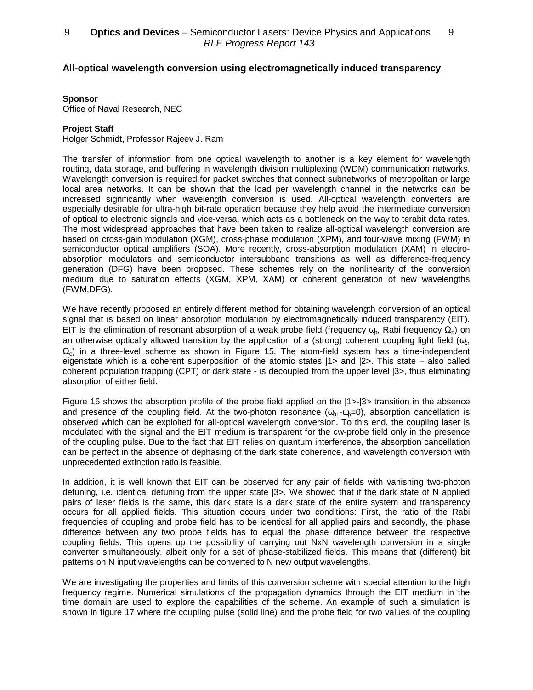## **All-optical wavelength conversion using electromagnetically induced transparency**

### **Sponsor**

Office of Naval Research, NEC

### **Project Staff**

Holger Schmidt, Professor Rajeev J. Ram

The transfer of information from one optical wavelength to another is a key element for wavelength routing, data storage, and buffering in wavelength division multiplexing (WDM) communication networks. Wavelength conversion is required for packet switches that connect subnetworks of metropolitan or large local area networks. It can be shown that the load per wavelength channel in the networks can be increased significantly when wavelength conversion is used. All-optical wavelength converters are especially desirable for ultra-high bit-rate operation because they help avoid the intermediate conversion of optical to electronic signals and vice-versa, which acts as a bottleneck on the way to terabit data rates. The most widespread approaches that have been taken to realize all-optical wavelength conversion are based on cross-gain modulation (XGM), cross-phase modulation (XPM), and four-wave mixing (FWM) in semiconductor optical amplifiers (SOA). More recently, cross-absorption modulation (XAM) in electroabsorption modulators and semiconductor intersubband transitions as well as difference-frequency generation (DFG) have been proposed. These schemes rely on the nonlinearity of the conversion medium due to saturation effects (XGM, XPM, XAM) or coherent generation of new wavelengths (FWM,DFG).

We have recently proposed an entirely different method for obtaining wavelength conversion of an optical signal that is based on linear absorption modulation by electromagnetically induced transparency (EIT). EIT is the elimination of resonant absorption of a weak probe field (frequency  $\omega_{\rm p}$ , Rabi frequency  $\Omega_{\rm p}$ ) on an otherwise optically allowed transition by the application of a (strong) coherent coupling light field ( $\omega_c$ ,  $\Omega_c$ ) in a three-level scheme as shown in Figure 15. The atom-field system has a time-independent eigenstate which is a coherent superposition of the atomic states  $1$ > and  $2$ >. This state – also called coherent population trapping (CPT) or dark state - is decoupled from the upper level |3>, thus eliminating absorption of either field.

Figure 16 shows the absorption profile of the probe field applied on the  $|1\rangle$ - $|3\rangle$  transition in the absence and presence of the coupling field. At the two-photon resonance  $(\omega_{31} - \omega_{9} = 0)$ , absorption cancellation is observed which can be exploited for all-optical wavelength conversion. To this end, the coupling laser is modulated with the signal and the EIT medium is transparent for the cw-probe field only in the presence of the coupling pulse. Due to the fact that EIT relies on quantum interference, the absorption cancellation can be perfect in the absence of dephasing of the dark state coherence, and wavelength conversion with unprecedented extinction ratio is feasible.

In addition, it is well known that EIT can be observed for any pair of fields with vanishing two-photon detuning, i.e. identical detuning from the upper state |3>. We showed that if the dark state of N applied pairs of laser fields is the same, this dark state is a dark state of the entire system and transparency occurs for all applied fields. This situation occurs under two conditions: First, the ratio of the Rabi frequencies of coupling and probe field has to be identical for all applied pairs and secondly, the phase difference between any two probe fields has to equal the phase difference between the respective coupling fields. This opens up the possibility of carrying out NxN wavelength conversion in a single converter simultaneously, albeit only for a set of phase-stabilized fields. This means that (different) bit patterns on N input wavelengths can be converted to N new output wavelengths.

We are investigating the properties and limits of this conversion scheme with special attention to the high frequency regime. Numerical simulations of the propagation dynamics through the EIT medium in the time domain are used to explore the capabilities of the scheme. An example of such a simulation is shown in figure 17 where the coupling pulse (solid line) and the probe field for two values of the coupling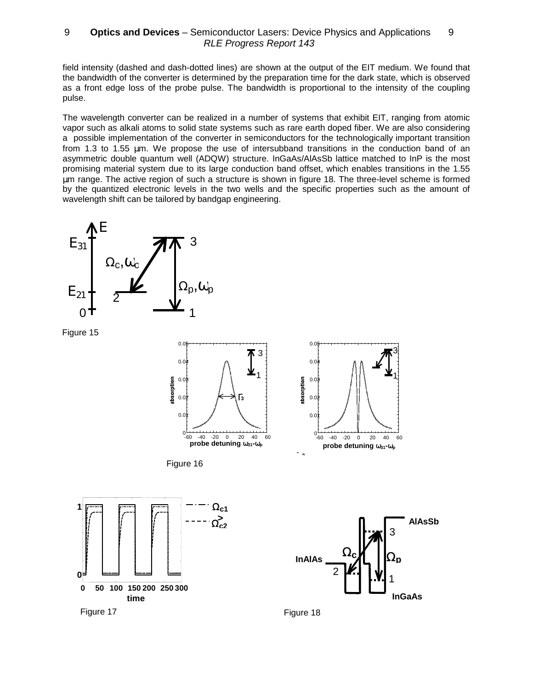field intensity (dashed and dash-dotted lines) are shown at the output of the EIT medium. We found that the bandwidth of the converter is determined by the preparation time for the dark state, which is observed as a front edge loss of the probe pulse. The bandwidth is proportional to the intensity of the coupling pulse.

The wavelength converter can be realized in a number of systems that exhibit EIT, ranging from atomic vapor such as alkali atoms to solid state systems such as rare earth doped fiber. We are also considering a possible implementation of the converter in semiconductors for the technologically important transition from 1.3 to 1.55 µm. We propose the use of intersubband transitions in the conduction band of an asymmetric double quantum well (ADQW) structure. InGaAs/AlAsSb lattice matched to InP is the most promising material system due to its large conduction band offset, which enables transitions in the 1.55 µm range. The active region of such a structure is shown in figure 18. The three-level scheme is formed by the quantized electronic levels in the two wells and the specific properties such as the amount of wavelength shift can be tailored by bandgap engineering.



Figure 15







1

Figure 18

Figure 17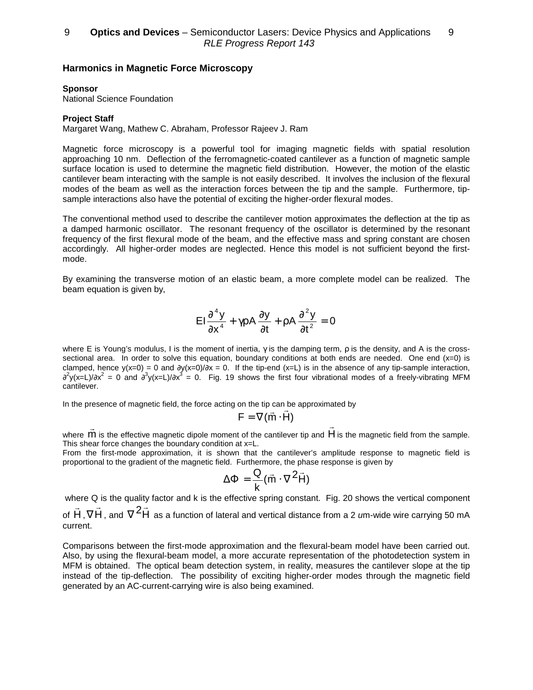### **Harmonics in Magnetic Force Microscopy**

#### **Sponsor**

National Science Foundation

### **Project Staff**

Margaret Wang, Mathew C. Abraham, Professor Rajeev J. Ram

Magnetic force microscopy is a powerful tool for imaging magnetic fields with spatial resolution approaching 10 nm. Deflection of the ferromagnetic-coated cantilever as a function of magnetic sample surface location is used to determine the magnetic field distribution. However, the motion of the elastic cantilever beam interacting with the sample is not easily described. It involves the inclusion of the flexural modes of the beam as well as the interaction forces between the tip and the sample. Furthermore, tipsample interactions also have the potential of exciting the higher-order flexural modes.

The conventional method used to describe the cantilever motion approximates the deflection at the tip as a damped harmonic oscillator. The resonant frequency of the oscillator is determined by the resonant frequency of the first flexural mode of the beam, and the effective mass and spring constant are chosen accordingly. All higher-order modes are neglected. Hence this model is not sufficient beyond the firstmode.

By examining the transverse motion of an elastic beam, a more complete model can be realized. The beam equation is given by,

$$
EI\frac{\partial^4 y}{\partial x^4} + \gamma p A \frac{\partial y}{\partial t} + p A \frac{\partial^2 y}{\partial t^2} = 0
$$

where E is Young's modulus, I is the moment of inertia,  $\gamma$  is the damping term,  $\rho$  is the density, and A is the crosssectional area. In order to solve this equation, boundary conditions at both ends are needed. One end  $(x=0)$  is clamped, hence  $y(x=0) = 0$  and  $\frac{\partial y(x=0)}{\partial x} = 0$ . If the tip-end (x=L) is in the absence of any tip-sample interaction,  $\partial^2$ y(x=L)/∂x<sup>2</sup> = 0 and  $\partial^3$ y(x=L)/∂x<sup>3</sup> = 0. Fig. 19 shows the first four vibrational modes of a freely-vibrating MFM cantilever.

In the presence of magnetic field, the force acting on the tip can be approximated by<br> $\mathsf{F} = \nabla(\vec{\mathsf{m}}\cdot\vec{\mathsf{H}})$ 

$$
\mathsf{F} = \nabla(\vec{\mathsf{m}} \cdot \mathsf{H})
$$

where  $\vec{m}$  is the effective magnetic dipole moment of the cantilever tip and  $\vec{H}$  is the magnetic field from the sample. This shear force changes the boundary condition at x=L.

From the first-mode approximation, it is shown that the cantilever's amplitude response to magnetic field is proportional to the gradient of the magnetic field. Furthermore, the phase response is given by

$$
\Delta \Phi = \frac{Q}{k} (\vec{m} \cdot \nabla^2 \vec{H})
$$

where Q is the quality factor and k is the effective spring constant. Fig. 20 shows the vertical component of H r ,  $\nabla \vec{H}$  , and  $\nabla^2 \vec{H}$  as a function of lateral and vertical distance from a 2 *u*m-wide wire carrying 50 mA current.

Comparisons between the first-mode approximation and the flexural-beam model have been carried out. Also, by using the flexural-beam model, a more accurate representation of the photodetection system in MFM is obtained. The optical beam detection system, in reality, measures the cantilever slope at the tip instead of the tip-deflection. The possibility of exciting higher-order modes through the magnetic field generated by an AC-current-carrying wire is also being examined.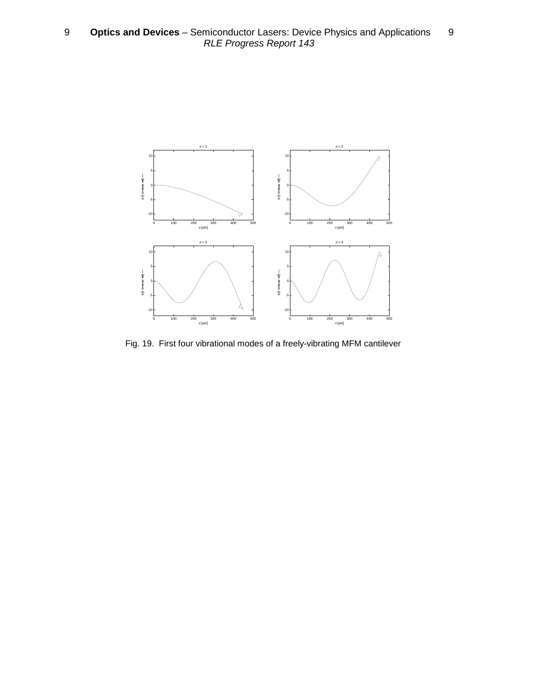

Fig. 19. First four vibrational modes of a freely-vibrating MFM cantilever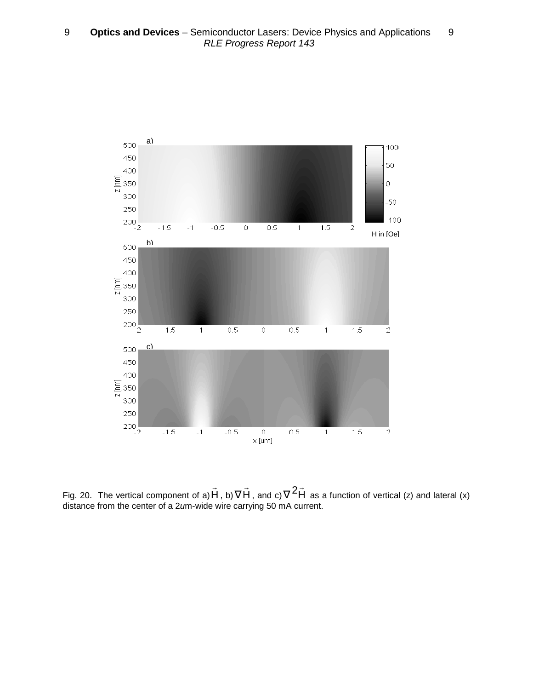

Fig. 20. The vertical component of a)  $H$ r , b)  $\nabla \vec{\mathsf{H}}$  , and  $\mathsf{c}$ )  $\nabla^2 \vec{\mathsf{H}}$  as a function of vertical (z) and lateral (x) distance from the center of a 2um-wide wire carrying 50 mA current.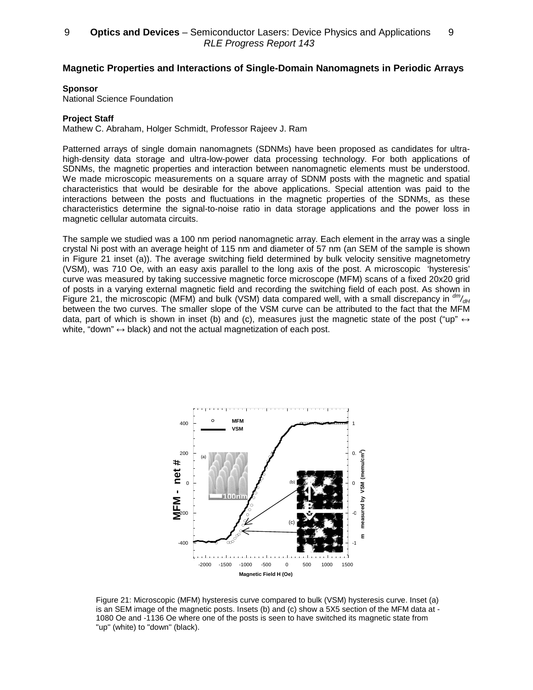## **Magnetic Properties and Interactions of Single-Domain Nanomagnets in Periodic Arrays**

#### **Sponsor**

National Science Foundation

### **Project Staff**

Mathew C. Abraham, Holger Schmidt, Professor Rajeev J. Ram

Patterned arrays of single domain nanomagnets (SDNMs) have been proposed as candidates for ultrahigh-density data storage and ultra-low-power data processing technology. For both applications of SDNMs, the magnetic properties and interaction between nanomagnetic elements must be understood. We made microscopic measurements on a square array of SDNM posts with the magnetic and spatial characteristics that would be desirable for the above applications. Special attention was paid to the interactions between the posts and fluctuations in the magnetic properties of the SDNMs, as these characteristics determine the signal-to-noise ratio in data storage applications and the power loss in magnetic cellular automata circuits.

The sample we studied was a 100 nm period nanomagnetic array. Each element in the array was a single crystal Ni post with an average height of 115 nm and diameter of 57 nm (an SEM of the sample is shown in Figure 21 inset (a)). The average switching field determined by bulk velocity sensitive magnetometry (VSM), was 710 Oe, with an easy axis parallel to the long axis of the post. A microscopic 'hysteresis' curve was measured by taking successive magnetic force microscope (MFM) scans of a fixed 20x20 grid of posts in a varying external magnetic field and recording the switching field of each post. As shown in Figure 21, the microscopic (MFM) and bulk (VSM) data compared well, with a small discrepancy in  $\frac{dm}{dH}$ between the two curves. The smaller slope of the VSM curve can be attributed to the fact that the MFM data, part of which is shown in inset (b) and (c), measures just the magnetic state of the post ("up"  $\leftrightarrow$ white, "down"  $\leftrightarrow$  black) and not the actual magnetization of each post.



Figure 21: Microscopic (MFM) hysteresis curve compared to bulk (VSM) hysteresis curve. Inset (a) is an SEM image of the magnetic posts. Insets (b) and (c) show a 5X5 section of the MFM data at - 1080 Oe and -1136 Oe where one of the posts is seen to have switched its magnetic state from "up'' (white) to "down'' (black).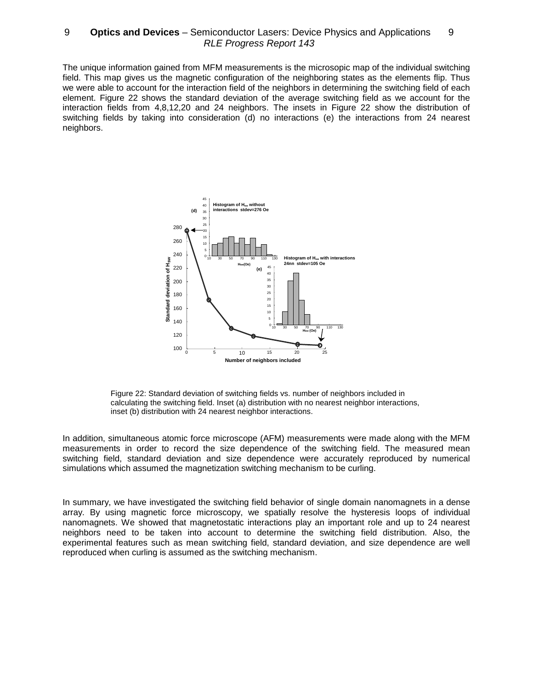The unique information gained from MFM measurements is the microsopic map of the individual switching field. This map gives us the magnetic configuration of the neighboring states as the elements flip. Thus we were able to account for the interaction field of the neighbors in determining the switching field of each element. Figure 22 shows the standard deviation of the average switching field as we account for the interaction fields from 4,8,12,20 and 24 neighbors. The insets in Figure 22 show the distribution of switching fields by taking into consideration (d) no interactions (e) the interactions from 24 nearest neighbors.



Figure 22: Standard deviation of switching fields vs. number of neighbors included in calculating the switching field. Inset (a) distribution with no nearest neighbor interactions, inset (b) distribution with 24 nearest neighbor interactions.

In addition, simultaneous atomic force microscope (AFM) measurements were made along with the MFM measurements in order to record the size dependence of the switching field. The measured mean switching field, standard deviation and size dependence were accurately reproduced by numerical simulations which assumed the magnetization switching mechanism to be curling.

In summary, we have investigated the switching field behavior of single domain nanomagnets in a dense array. By using magnetic force microscopy, we spatially resolve the hysteresis loops of individual nanomagnets. We showed that magnetostatic interactions play an important role and up to 24 nearest neighbors need to be taken into account to determine the switching field distribution. Also, the experimental features such as mean switching field, standard deviation, and size dependence are well reproduced when curling is assumed as the switching mechanism.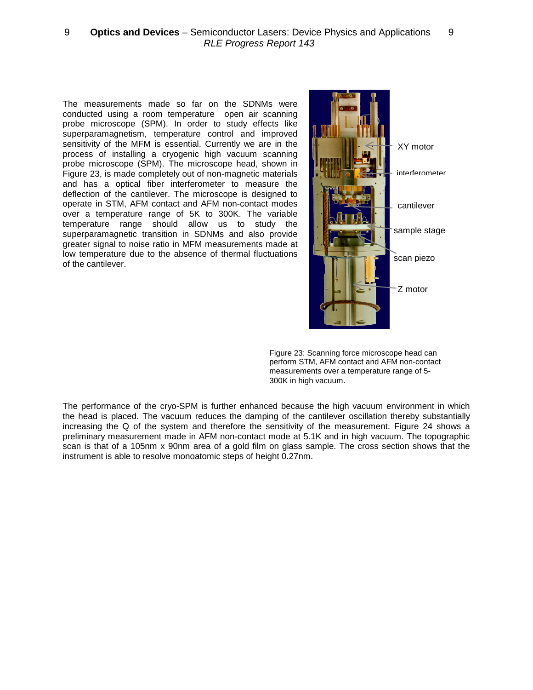The measurements made so far on the SDNMs were conducted using a room temperature open air scanning probe microscope (SPM). In order to study effects like superparamagnetism, temperature control and improved sensitivity of the MFM is essential. Currently we are in the process of installing a cryogenic high vacuum scanning probe microscope (SPM). The microscope head, shown in Figure 23, is made completely out of non-magnetic materials and has a optical fiber interferometer to measure the deflection of the cantilever. The microscope is designed to operate in STM, AFM contact and AFM non-contact modes over a temperature range of 5K to 300K. The variable temperature range should allow us to study the superparamagnetic transition in SDNMs and also provide greater signal to noise ratio in MFM measurements made at low temperature due to the absence of thermal fluctuations of the cantilever.



Figure 23: Scanning force microscope head can perform STM, AFM contact and AFM non-contact measurements over a temperature range of 5- 300K in high vacuum.

The performance of the cryo-SPM is further enhanced because the high vacuum environment in which the head is placed. The vacuum reduces the damping of the cantilever oscillation thereby substantially increasing the Q of the system and therefore the sensitivity of the measurement. Figure 24 shows a preliminary measurement made in AFM non-contact mode at 5.1K and in high vacuum. The topographic scan is that of a 105nm x 90nm area of a gold film on glass sample. The cross section shows that the instrument is able to resolve monoatomic steps of height 0.27nm.